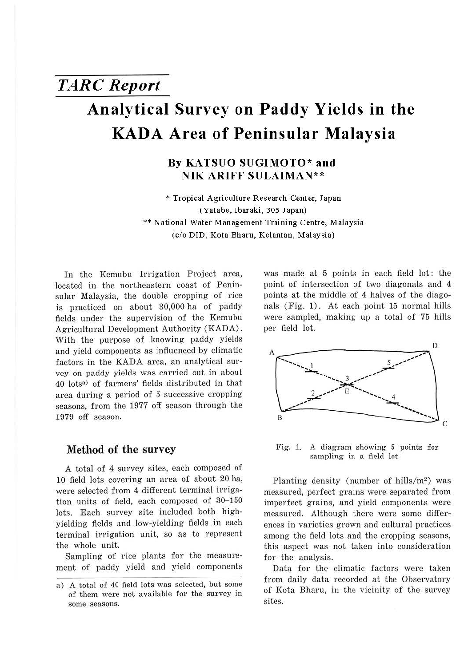# *TARC Report*  **Analytical Survey on Paddy Yields in the KADA Area of Peninsular Malaysia**

## **By KATSUO SUGIMOTO\* and NIK ARIFF SULAIMAN\*\***

\* **Tropical Agriculture Research Center, Japan (Yatabe, Ibaraki, 305 Japan)**  \*\* **National Water Management Training Centre, Malaysia (c/o** DID, **Kota Bharu, Kelantan, Malaysia)** 

In the Kemubu Irrigation Project area, located in the northeastern coast of Peninsular Malaysia, the double cropping of rice is practiced on about 30,000 ha of paddy fields under the supervision of the Kemubu Agricultural Development Authority (KADA). With the purpose of knowing paddy yields and yield components as influenced by climatic factors in the KADA area, an analytical survey on paddy yields was carried out in about 40 lots<sup>a)</sup> of farmers' fields distributed in that area during a period of 5 successive cropping seasons, from the 1977 off season through the 1979 off season.

### **Method of the survey**

A total of 4 survey sites, each composed of 10 field lots covering an area of about 20 ha, were selected from 4 different terminal irrigation units of field, each composed of 30-150 lots. Each survey site included both highyielding fields and low-yielding fields in each terminal irrigation unit, so as to represent the whole unit.

Sampling of rice plants for the measurement of paddy yield and yield components was made at 5 points in each field lot: the point of intersection of two diagonals and 4 points at the middle of 4 halves of the diagonals (Fig. 1). At each point 15 normal hills were sampled, making up a total of 75 hills per field lot.



Fig. 1. A diagram showing 5 points for sampling in a field lot

Planting density (number of hills/ $m^2$ ) was measured, perfect grains were separated from imperfect grains, and yield components were measured. Although there were some differences in varieties grown and cultural practices among the field lots and the cropping seasons, this aspect was not taken into consideration for the analysis.

Data for the climatic factors were taken from daily data recorded at the Observatory of Kota Bharu, in the vicinity of the survey sites.

a) A total of 40 field lots was selected, but some of them were not available for the survey in some seasons.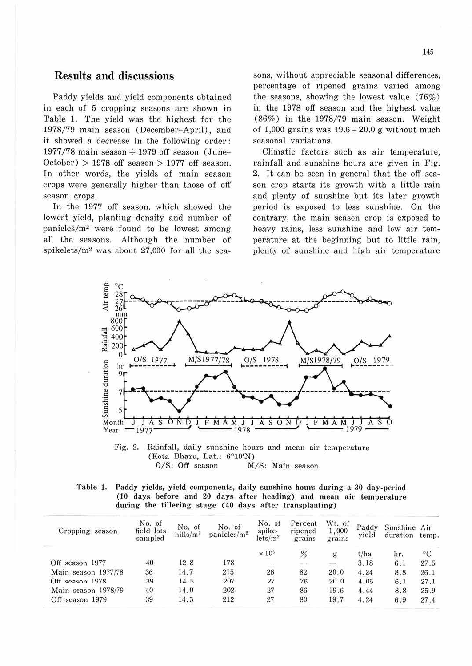## **Results and discussions**

Paddy yields and yield components obtained in each of 5 cropping seasons are shown in Table 1. The yield was the highest for the 1978/79 main season (December-April), and it showed a decrease in the following order:  $1977/78$  main season  $\div$  1979 off season (June- $October$  > 1978 off season > 1977 off season. In other words, the yields of main season crops were generally higher than those of off season crops.

In the 1977 off season, which showed the lowest yield, planting density and number of panicles/m2 were found to be lowest among all the seasons. Although the number of spikelets/m2 was about 27,000 for all the seasons, without appreciable seasonal differences, percentage of ripened grains varied among the seasons, showing the lowest value (76%) in the 1978 off season and the highest value (86%) in the 1978/79 main season. Weight of 1,000 grains was  $19.6 - 20.0$  g without much seasonal variations.

Climatic factors such as air temperature, rainfall and sunshine hours are given in Fig. 2. It can be seen in general that the off season crop starts its growth with a little rain and plenty of sunshine but its later growth period is exposed to less sunshine. On the contrary, the main season crop is exposed to heavy rains, less sunshine and low air temperature at the beginning but to little rain, plenty of sunshine and high air temperature



Fig. 2. Rainfall, daily sunshine hours and mean air temperature (Kota Bharu, Lat.: 6°10'N) M/S: Main season

|                                                          | Table 1. Paddy yields, yield components, daily sunshine hours during a 30 day-period |
|----------------------------------------------------------|--------------------------------------------------------------------------------------|
|                                                          | (10 days before and 20 days after heading) and mean air temperature                  |
| during the tillering stage (40 days after transplanting) |                                                                                      |

| Cropping season     | No. of<br>field lots<br>sampled | No. of<br>hills/ $m^2$ | No. of<br>panicles/m <sup>2</sup> | No. of<br>spike-<br>lets/m <sup>2</sup>                                                                                   | Percent<br>ripened<br>grains | Wt. of<br>1,000<br>grains | Paddy<br>vield | Sunshine Air<br>duration temp. |      |
|---------------------|---------------------------------|------------------------|-----------------------------------|---------------------------------------------------------------------------------------------------------------------------|------------------------------|---------------------------|----------------|--------------------------------|------|
|                     |                                 |                        |                                   | $\times 10^{3}$                                                                                                           | %                            | g                         | t/ha           | hr.                            | ∘c   |
| Off season 1977     | 40                              | 12.8                   | 178                               | $\frac{1}{2} \left( \frac{1}{2} \right) \left( \frac{1}{2} \right) \left( \frac{1}{2} \right) \left( \frac{1}{2} \right)$ |                              | $\equiv$                  | 3.18           | 6.1                            | 27.5 |
| Main season 1977/78 | 36                              | 14.7                   | 215                               | 26                                                                                                                        | 82                           | 20.0                      | 4.24           | 8.8                            | 26.1 |
| Off season 1978     | 39                              | 14.5                   | 207                               | 27                                                                                                                        | 76                           | 20 0                      | 4.05           | 6.1                            | 27.1 |
| Main season 1978/79 | 40                              | 14.0                   | 202                               | 27                                                                                                                        | 86                           | 19.6                      | 4.44           | 8.8                            | 25.9 |
| Off season 1979     | 39                              | 14.5                   | 212                               | 27                                                                                                                        | 80                           | 19.7                      | 4.24           | 6.9                            | 27.4 |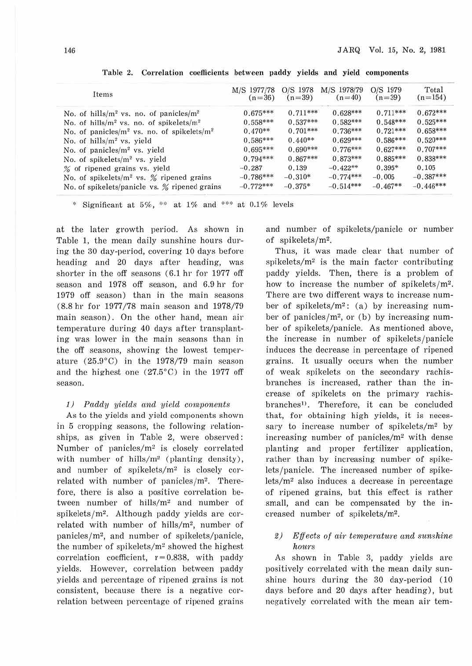| Items                                              | M/S 1977/78<br>$(n=36)$ | O/S 1978<br>$(n=39)$ | M/S 1978/79<br>$(n=40)$ | O/S 1979<br>$(n=39)$ | Total<br>$(n=154)$ |
|----------------------------------------------------|-------------------------|----------------------|-------------------------|----------------------|--------------------|
| No. of hills/ $m^2$ vs. no. of panicles/ $m^2$     | $0.675***$              | $0.711***$           | $0.628***$              | $0.711***$           | $0.672***$         |
| No. of hills/ $m^2$ vs. no. of spikelets/ $m^2$    | $0.558***$              | $0.537***$           | $0.582***$              | $0.548***$           | $0.525***$         |
| No. of panicles/ $m^2$ vs. no. of spikelets/ $m^2$ | $0.470**$               | $0.701***$           | $0.736***$              | $0.721***$           | $0.658***$         |
| No. of $hills/m2$ vs. yield                        | $0.586***$              | $0.440**$            | $0.629***$              | $0.586***$           | $0.520***$         |
| No. of panicles/m <sup>2</sup> vs. yield           | $0.695***$              | $0.690***$           | $0.776***$              | $0.627***$           | $0.707***$         |
| No. of spikelets/m <sup>2</sup> vs. yield          | $0.794***$              | $0.867***$           | $0.873***$              | $0.885***$           | $0.838***$         |
| % of ripened grains vs. yield                      | $-0.287$                | 0.139                | $-0.422**$              | $0.395*$             | 0.105              |
| No. of spikelets/ $m^2$ vs. % ripened grains       | $-0.786***$             | $-0.310*$            | $-0.774***$             | $-0.005$             | $-0.387***$        |
| No. of spikelets/panicle vs. % ripened grains      | $-0.772***$             | $-0.375*$            | $-0.514***$             | $-0.467**$           | $-0.446***$        |

Table 2. Correlation coefficients between paddy yields and yield components

\* Significant at 5%, \*\* at 1% and \*\*\* at 0.1% levels

at the later growth period. As shown in Table 1, the mean daily sunshine hours during the 30 day-period, covering 10 days before heading and 20 days after heading, was shorter in the off seasons  $(6.1 \text{ hr}$  for 1977 off season and 1978 off season, and 6.9 hr for 1979 off season) than in the main seasons (8.8 hr for 1977/78 main season and 1978/79 main season). On the other hand, mean air temperature during 40 days after transplanting was lower in the main seasons than in the off seasons, showing the lowest temperature (25.9°C) in the 1978/79 main season and the highest one (27.5°C) in the 1977 off season.

#### 1) Paddy yields and yield components

As to the yields and yield components shown in 5 cropping seasons, the following relationships, as given in Table 2, were observed: Number of panicles/ $m^2$  is closely correlated with number of hills/ $m^2$  (planting density), and number of spikelets/ $m<sup>2</sup>$  is closely correlated with number of panicles/ $m^2$ . Therefore, there is also a positive correlation between number of hills/m2 and number of spikelets/m2. Although paddy yields are correlated with number of hills/m2, number of  $panicles/m<sup>2</sup>$ , and number of spikelets/panicle, the number of spikelets/ $m^2$  showed the highest correlation coefficient,  $r = 0.838$ , with paddy yields. However, correlation between paddy yields and percentage of ripened grains is not consistent, because there is a negative correlation between percentage of ripened grains and number of spikelets/panicle or number of spikelets/m2.

Thus, it was made clear that number of spikelets/ $m<sup>2</sup>$  is the main factor contributing paddy yields. Then, there is a problem of how to increase the number of spikelets/ $m^2$ . There are two different ways to increase number of spikelets/ $m^2$ : (a) by increasing number of panicles/ $m^2$ , or (b) by increasing number of spikelets/panicle. As mentioned above, the increase in number of spikelets/panicle induces the decrease in percentage of ripened grains. It usually occurs when the number of weak spikelets on the secondary rachisbranches is increased, rather than the increase of spikelets on the primary rachisbranches<sup>1)</sup>. Therefore, it can be concluded that, for obtaining high yields, it is necessary to increase number of spikelets/m<sup>2</sup> by increasing number of panicles/m<sup>2</sup> with dense planting and proper fertilizer application, rather than by increasing number of spikelets/panicle. The increased number of spike $lets/m<sup>2</sup>$  also induces a decrease in percentage of ripened grains, but this effect is rnther small, and can be compensated by the increased number of spikelets/m<sup>2</sup>.

#### $2)$  Effects of air temperature and sunshine hours

As shown in Table 3, paddy yields are positively correlated with the mean daily sunshine hours during the 30 day-period (10 days before and 20 days after heading), but negatively correlated with the mean air tem-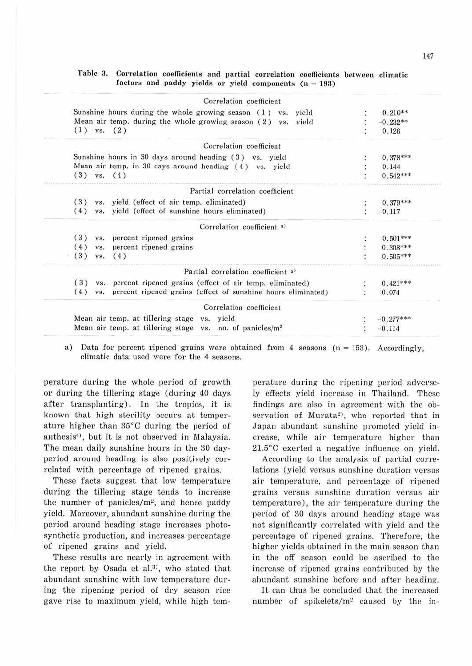| Correlation coefficient                                                 |             |
|-------------------------------------------------------------------------|-------------|
| Sunshine hours during the whole growing season $(1)$ vs. yield          | $0.210**$   |
| Mean air temp, during the whole growing season (2) vs. yield            | $-0.232**$  |
| $(1)$ vs. $(2)$                                                         | 0.126       |
| Correlation coefficient                                                 |             |
| Sunshine hours in 30 days around heading (3) vs. yield                  | $0.378***$  |
| Mean air temp. in 30 days around heading $(4)$ vs. yield                | 0.144       |
| $(3)$ vs. $(4)$                                                         | $0.542***$  |
| Partial correlation coefficient                                         |             |
| (3) vs. yield (effect of air temp. eliminated)                          | $0.379***$  |
| (4) vs. yield (effect of sunshine hours eliminated)                     | $-0.117$    |
| Correlation coefficient a)                                              |             |
| vs. percent ripened grains<br>(3)                                       | $0.501***$  |
| (4)<br>vs. percent ripened grains                                       | $0.308***$  |
| (3)<br>$vs.$ $(4)$                                                      | $0.505***$  |
| Partial correlation coefficient a)                                      |             |
| vs. percent ripened grains (effect of air temp. eliminated)<br>(3)      | $0.421***$  |
| (4)<br>vs. percent ripened grains (effect of sunshine hours eliminated) | 0.074       |
| Correlation coefficient                                                 |             |
| Mean air temp, at tillering stage vs. yield                             | $-0.277***$ |
| Mean air temp. at tillering stage vs. no. of panicles/ $m2$             | $-0.114$    |

Table 3. Correlation coefficients and partial correlation coefficients between climatic  $factors and paddy yields or yield components  $(n = 193)$$ 

a) Data for percent ripened grains were obtained from 4 seasons  $(n = 153)$ . Accordingly, climatic data used were for the 4 seasons.

perature during the whole period of growth or during the tillering stage (during 40 days after transplanting). In the tropics, it is known that high sterility occurs at temperature higher than 85°C during the period of anthesis<sup>4</sup>, but it is not observed in Malaysia. The mean daily sunshine hours in the 30 dayperiod around heading is also positively correlated with percentage of ripened grains.

These facts suggest that low temperature during the tillering stage tends to increase the number of panicles/m2, and hence paddy yield. Moreover, abundant sunshine during the period around heading stage increases photosynthetic production, and increases percentage of ripened grains and yield.

These results are nearly in agreement with the report by Osada et al.<sup>3)</sup>, who stated that abundant sunshine with low temperature during the ripening period of dry season rice gave rise to maximum yield, while high tem-

perature during the ripening period adversely effects yield increase in Thailand. These findings are also in agreement with the observation of Murata<sup>2</sup>, who reported that in Japan abundant sunshine promoted yield increase, while air temperature higher than 2I.5°C exerted a negative influence on yield.

According to the analysis of partial correlations (yield versus sunshine duration versus air temperature, and percentage of ripened grains versus sunshine duration versus air temperature), the air temperature during the period of 30 days around heading stage was not significantly correlated with yield and the percentage of ripened grains. Therefore, the higher yields obtained in the main season than in the off season could be ascribed to the increase of ripened grains contributed by the abundant sunshine before and after heading.

It can thus be concluded that the increased number of spikelets/m<sup>2</sup> caused by the in